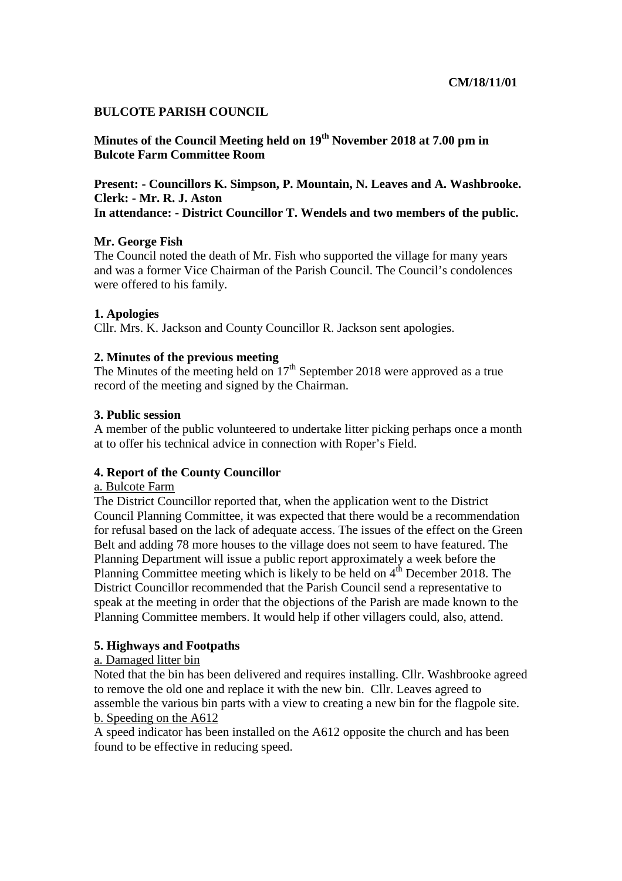### **BULCOTE PARISH COUNCIL**

**Minutes of the Council Meeting held on 19th November 2018 at 7.00 pm in Bulcote Farm Committee Room** 

**Present: - Councillors K. Simpson, P. Mountain, N. Leaves and A. Washbrooke. Clerk: - Mr. R. J. Aston In attendance: - District Councillor T. Wendels and two members of the public.** 

### **Mr. George Fish**

The Council noted the death of Mr. Fish who supported the village for many years and was a former Vice Chairman of the Parish Council. The Council's condolences were offered to his family.

### **1. Apologies**

Cllr. Mrs. K. Jackson and County Councillor R. Jackson sent apologies.

### **2. Minutes of the previous meeting**

The Minutes of the meeting held on  $17<sup>th</sup>$  September 2018 were approved as a true record of the meeting and signed by the Chairman.

### **3. Public session**

A member of the public volunteered to undertake litter picking perhaps once a month at to offer his technical advice in connection with Roper's Field.

### **4. Report of the County Councillor**

#### a. Bulcote Farm

The District Councillor reported that, when the application went to the District Council Planning Committee, it was expected that there would be a recommendation for refusal based on the lack of adequate access. The issues of the effect on the Green Belt and adding 78 more houses to the village does not seem to have featured. The Planning Department will issue a public report approximately a week before the Planning Committee meeting which is likely to be held on  $4<sup>th</sup>$  December 2018. The District Councillor recommended that the Parish Council send a representative to speak at the meeting in order that the objections of the Parish are made known to the Planning Committee members. It would help if other villagers could, also, attend.

### **5. Highways and Footpaths**

### a. Damaged litter bin

Noted that the bin has been delivered and requires installing. Cllr. Washbrooke agreed to remove the old one and replace it with the new bin. Cllr. Leaves agreed to assemble the various bin parts with a view to creating a new bin for the flagpole site. b. Speeding on the A612

A speed indicator has been installed on the A612 opposite the church and has been found to be effective in reducing speed.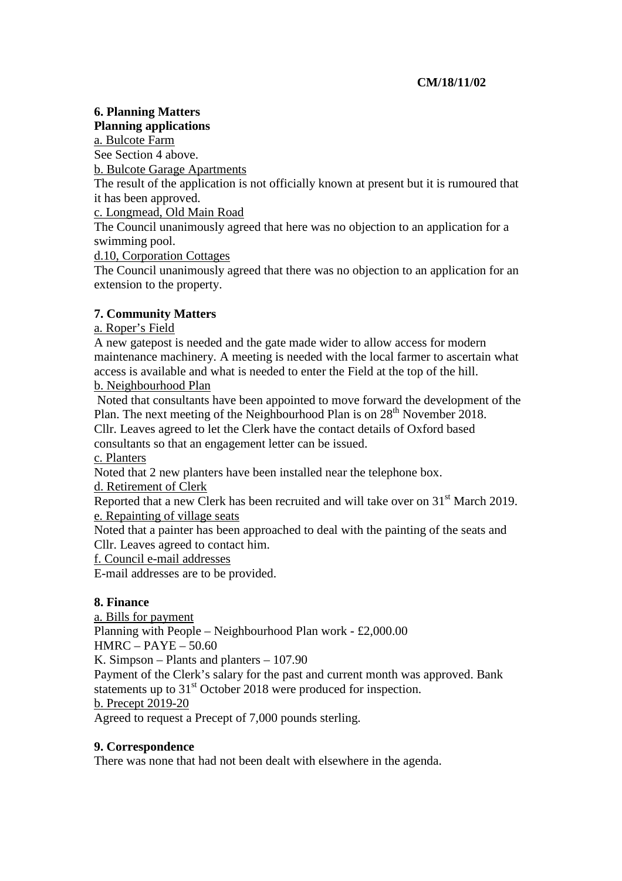# **CM/18/11/02**

# **6. Planning Matters**

**Planning applications** 

a. Bulcote Farm See Section 4 above.

b. Bulcote Garage Apartments

The result of the application is not officially known at present but it is rumoured that it has been approved.

c. Longmead, Old Main Road

The Council unanimously agreed that here was no objection to an application for a swimming pool.

d.10, Corporation Cottages

The Council unanimously agreed that there was no objection to an application for an extension to the property.

# **7. Community Matters**

## a. Roper's Field

A new gatepost is needed and the gate made wider to allow access for modern maintenance machinery. A meeting is needed with the local farmer to ascertain what access is available and what is needed to enter the Field at the top of the hill.

## b. Neighbourhood Plan

 Noted that consultants have been appointed to move forward the development of the Plan. The next meeting of the Neighbourhood Plan is on 28<sup>th</sup> November 2018. Cllr. Leaves agreed to let the Clerk have the contact details of Oxford based

consultants so that an engagement letter can be issued.

c. Planters

Noted that 2 new planters have been installed near the telephone box.

d. Retirement of Clerk

Reported that a new Clerk has been recruited and will take over on 31<sup>st</sup> March 2019. e. Repainting of village seats

Noted that a painter has been approached to deal with the painting of the seats and Cllr. Leaves agreed to contact him.

f. Council e-mail addresses

E-mail addresses are to be provided.

# **8. Finance**

a. Bills for payment Planning with People – Neighbourhood Plan work - £2,000.00 HMRC – PAYE – 50.60 K. Simpson – Plants and planters – 107.90 Payment of the Clerk's salary for the past and current month was approved. Bank statements up to 31<sup>st</sup> October 2018 were produced for inspection. b. Precept 2019-20 Agreed to request a Precept of 7,000 pounds sterling.

## **9. Correspondence**

There was none that had not been dealt with elsewhere in the agenda.